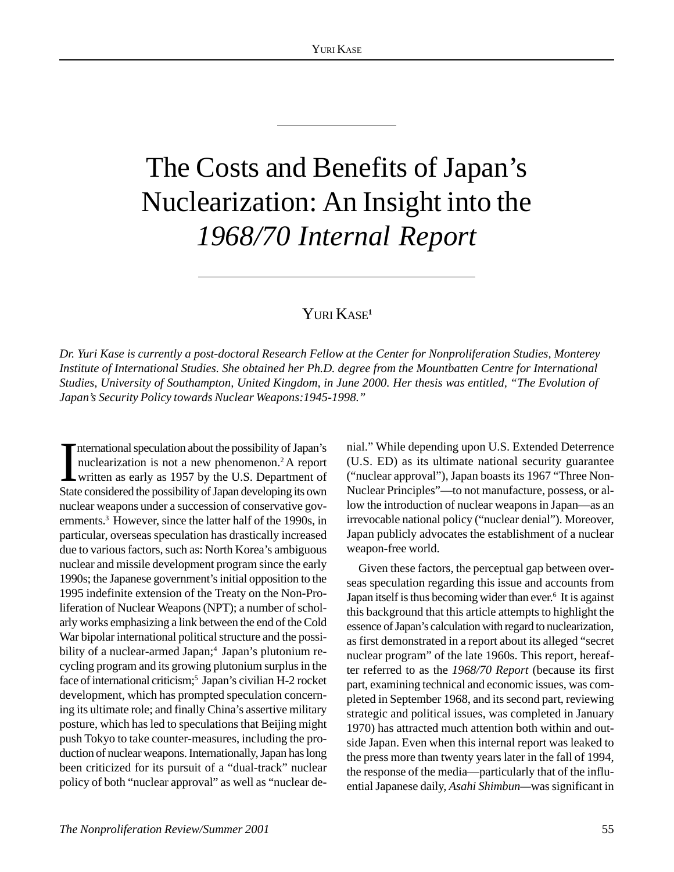# The Costs and Benefits of Japan's Nuclearization: An Insight into the *1968/70 Internal Report*

### YURI KASE<sup>1</sup>

*Dr. Yuri Kase is currently a post-doctoral Research Fellow at the Center for Nonproliferation Studies, Monterey Institute of International Studies. She obtained her Ph.D. degree from the Mountbatten Centre for International Studies, University of Southampton, United Kingdom, in June 2000. Her thesis was entitled, "The Evolution of Japan's Security Policy towards Nuclear Weapons:1945-1998."*

International speculation about the possibility of Japan's<br>nuclearization is not a new phenomenon.<sup>2</sup> A report<br>written as early as 1957 by the U.S. Department of<br>State considered the possibility of Japan developing its own nternational speculation about the possibility of Japan's nuclearization is not a new phenomenon.2 A report written as early as 1957 by the U.S. Department of nuclear weapons under a succession of conservative governments.<sup>3</sup> However, since the latter half of the 1990s, in particular, overseas speculation has drastically increased due to various factors, such as: North Korea's ambiguous nuclear and missile development program since the early 1990s; the Japanese government's initial opposition to the 1995 indefinite extension of the Treaty on the Non-Proliferation of Nuclear Weapons (NPT); a number of scholarly works emphasizing a link between the end of the Cold War bipolar international political structure and the possibility of a nuclear-armed Japan;<sup>4</sup> Japan's plutonium recycling program and its growing plutonium surplus in the face of international criticism;<sup>5</sup> Japan's civilian H-2 rocket development, which has prompted speculation concerning its ultimate role; and finally China's assertive military posture, which has led to speculations that Beijing might push Tokyo to take counter-measures, including the production of nuclear weapons. Internationally, Japan has long been criticized for its pursuit of a "dual-track" nuclear policy of both "nuclear approval" as well as "nuclear de-

nial." While depending upon U.S. Extended Deterrence (U.S. ED) as its ultimate national security guarantee ("nuclear approval"), Japan boasts its 1967 "Three Non-Nuclear Principles"—to not manufacture, possess, or allow the introduction of nuclear weapons in Japan—as an irrevocable national policy ("nuclear denial"). Moreover, Japan publicly advocates the establishment of a nuclear weapon-free world.

Given these factors, the perceptual gap between overseas speculation regarding this issue and accounts from Japan itself is thus becoming wider than ever.<sup>6</sup> It is against this background that this article attempts to highlight the essence of Japan's calculation with regard to nuclearization, as first demonstrated in a report about its alleged "secret nuclear program" of the late 1960s. This report, hereafter referred to as the *1968/70 Report* (because its first part, examining technical and economic issues, was completed in September 1968, and its second part, reviewing strategic and political issues, was completed in January 1970) has attracted much attention both within and outside Japan. Even when this internal report was leaked to the press more than twenty years later in the fall of 1994, the response of the media—particularly that of the influential Japanese daily, *Asahi Shimbun—*was significant in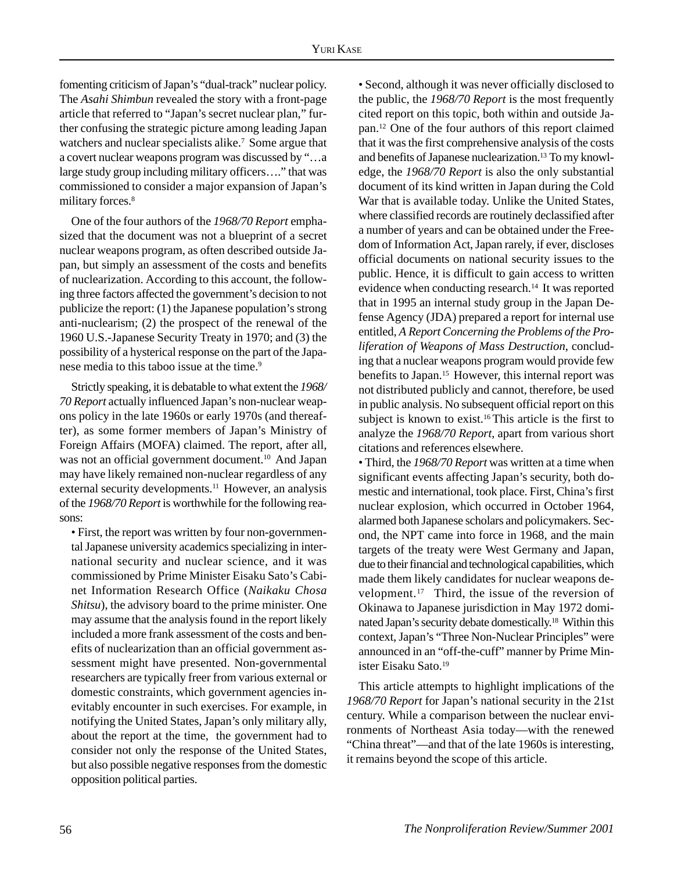fomenting criticism of Japan's "dual-track" nuclear policy. The *Asahi Shimbun* revealed the story with a front-page article that referred to "Japan's secret nuclear plan," further confusing the strategic picture among leading Japan watchers and nuclear specialists alike.<sup>7</sup> Some argue that a covert nuclear weapons program was discussed by "…a large study group including military officers…." that was commissioned to consider a major expansion of Japan's military forces.<sup>8</sup>

One of the four authors of the *1968/70 Report* emphasized that the document was not a blueprint of a secret nuclear weapons program, as often described outside Japan, but simply an assessment of the costs and benefits of nuclearization. According to this account, the following three factors affected the government's decision to not publicize the report: (1) the Japanese population's strong anti-nuclearism; (2) the prospect of the renewal of the 1960 U.S.-Japanese Security Treaty in 1970; and (3) the possibility of a hysterical response on the part of the Japanese media to this taboo issue at the time.<sup>9</sup>

Strictly speaking, it is debatable to what extent the *1968/ 70 Report* actually influenced Japan's non-nuclear weapons policy in the late 1960s or early 1970s (and thereafter), as some former members of Japan's Ministry of Foreign Affairs (MOFA) claimed. The report, after all, was not an official government document.<sup>10</sup> And Japan may have likely remained non-nuclear regardless of any external security developments.<sup>11</sup> However, an analysis of the *1968/70 Report* is worthwhile for the following reasons:

• First, the report was written by four non-governmental Japanese university academics specializing in international security and nuclear science, and it was commissioned by Prime Minister Eisaku Sato's Cabinet Information Research Office (*Naikaku Chosa Shitsu*), the advisory board to the prime minister. One may assume that the analysis found in the report likely included a more frank assessment of the costs and benefits of nuclearization than an official government assessment might have presented. Non-governmental researchers are typically freer from various external or domestic constraints, which government agencies inevitably encounter in such exercises. For example, in notifying the United States, Japan's only military ally, about the report at the time, the government had to consider not only the response of the United States, but also possible negative responses from the domestic opposition political parties.

• Second, although it was never officially disclosed to the public, the *1968/70 Report* is the most frequently cited report on this topic, both within and outside Japan.12 One of the four authors of this report claimed that it was the first comprehensive analysis of the costs and benefits of Japanese nuclearization.<sup>13</sup> To my knowledge, the *1968/70 Report* is also the only substantial document of its kind written in Japan during the Cold War that is available today. Unlike the United States, where classified records are routinely declassified after a number of years and can be obtained under the Freedom of Information Act, Japan rarely, if ever, discloses official documents on national security issues to the public. Hence, it is difficult to gain access to written evidence when conducting research.<sup>14</sup> It was reported that in 1995 an internal study group in the Japan Defense Agency (JDA) prepared a report for internal use entitled, *A Report Concerning the Problems of the Proliferation of Weapons of Mass Destruction*, concluding that a nuclear weapons program would provide few benefits to Japan.15 However, this internal report was not distributed publicly and cannot, therefore, be used in public analysis. No subsequent official report on this subject is known to exist.<sup>16</sup> This article is the first to analyze the *1968/70 Report*, apart from various short citations and references elsewhere.

• Third, the *1968/70 Report* was written at a time when significant events affecting Japan's security, both domestic and international, took place. First, China's first nuclear explosion, which occurred in October 1964, alarmed both Japanese scholars and policymakers. Second, the NPT came into force in 1968, and the main targets of the treaty were West Germany and Japan, due to their financial and technological capabilities, which made them likely candidates for nuclear weapons development.17 Third, the issue of the reversion of Okinawa to Japanese jurisdiction in May 1972 dominated Japan's security debate domestically.18 Within this context, Japan's "Three Non-Nuclear Principles" were announced in an "off-the-cuff" manner by Prime Minister Eisaku Sato.19

This article attempts to highlight implications of the *1968/70 Report* for Japan's national security in the 21st century. While a comparison between the nuclear environments of Northeast Asia today—with the renewed "China threat"—and that of the late 1960s is interesting, it remains beyond the scope of this article.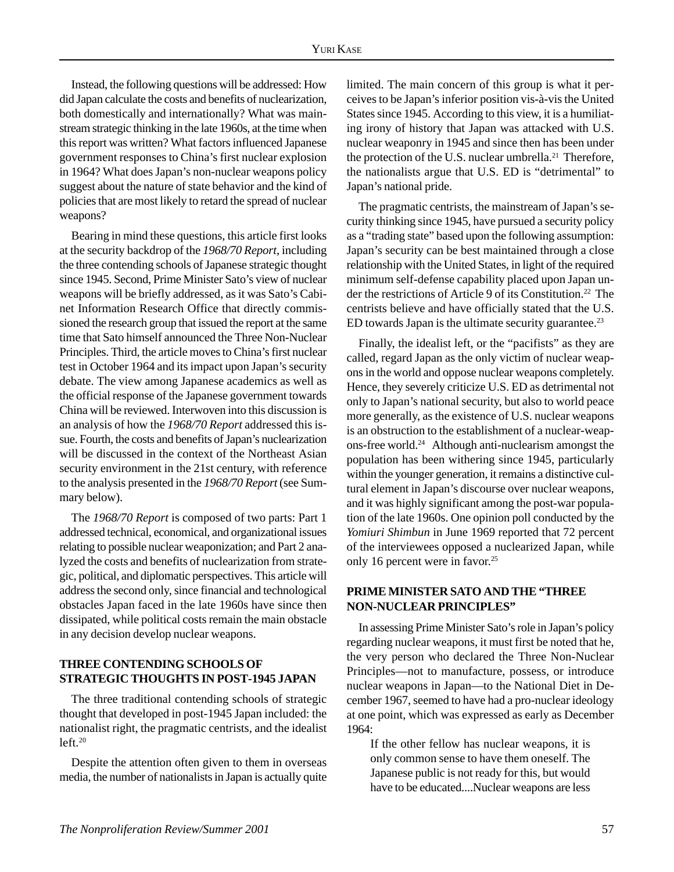Instead, the following questions will be addressed: How did Japan calculate the costs and benefits of nuclearization, both domestically and internationally? What was mainstream strategic thinking in the late 1960s, at the time when this report was written? What factors influenced Japanese government responses to China's first nuclear explosion in 1964? What does Japan's non-nuclear weapons policy suggest about the nature of state behavior and the kind of policies that are most likely to retard the spread of nuclear weapons?

Bearing in mind these questions, this article first looks at the security backdrop of the *1968/70 Report*, including the three contending schools of Japanese strategic thought since 1945. Second, Prime Minister Sato's view of nuclear weapons will be briefly addressed, as it was Sato's Cabinet Information Research Office that directly commissioned the research group that issued the report at the same time that Sato himself announced the Three Non-Nuclear Principles. Third, the article moves to China's first nuclear test in October 1964 and its impact upon Japan's security debate. The view among Japanese academics as well as the official response of the Japanese government towards China will be reviewed. Interwoven into this discussion is an analysis of how the *1968/70 Report* addressed this issue. Fourth, the costs and benefits of Japan's nuclearization will be discussed in the context of the Northeast Asian security environment in the 21st century, with reference to the analysis presented in the *1968/70 Report* (see Summary below).

The *1968/70 Report* is composed of two parts: Part 1 addressed technical, economical, and organizational issues relating to possible nuclear weaponization; and Part 2 analyzed the costs and benefits of nuclearization from strategic, political, and diplomatic perspectives. This article will address the second only, since financial and technological obstacles Japan faced in the late 1960s have since then dissipated, while political costs remain the main obstacle in any decision develop nuclear weapons.

#### **THREE CONTENDING SCHOOLS OF STRATEGIC THOUGHTS IN POST-1945 JAPAN**

The three traditional contending schools of strategic thought that developed in post-1945 Japan included: the nationalist right, the pragmatic centrists, and the idealist  $left<sub>.20</sub>$ 

Despite the attention often given to them in overseas media, the number of nationalists in Japan is actually quite limited. The main concern of this group is what it perceives to be Japan's inferior position vis-à-vis the United States since 1945. According to this view, it is a humiliating irony of history that Japan was attacked with U.S. nuclear weaponry in 1945 and since then has been under the protection of the U.S. nuclear umbrella.<sup>21</sup> Therefore, the nationalists argue that U.S. ED is "detrimental" to Japan's national pride.

The pragmatic centrists, the mainstream of Japan's security thinking since 1945, have pursued a security policy as a "trading state" based upon the following assumption: Japan's security can be best maintained through a close relationship with the United States, in light of the required minimum self-defense capability placed upon Japan under the restrictions of Article 9 of its Constitution.<sup>22</sup> The centrists believe and have officially stated that the U.S. ED towards Japan is the ultimate security guarantee.<sup>23</sup>

Finally, the idealist left, or the "pacifists" as they are called, regard Japan as the only victim of nuclear weapons in the world and oppose nuclear weapons completely. Hence, they severely criticize U.S. ED as detrimental not only to Japan's national security, but also to world peace more generally, as the existence of U.S. nuclear weapons is an obstruction to the establishment of a nuclear-weapons-free world.24 Although anti-nuclearism amongst the population has been withering since 1945, particularly within the younger generation, it remains a distinctive cultural element in Japan's discourse over nuclear weapons, and it was highly significant among the post-war population of the late 1960s. One opinion poll conducted by the *Yomiuri Shimbun* in June 1969 reported that 72 percent of the interviewees opposed a nuclearized Japan, while only 16 percent were in favor.<sup>25</sup>

#### **PRIME MINISTER SATO AND THE "THREE NON-NUCLEAR PRINCIPLES"**

In assessing Prime Minister Sato's role in Japan's policy regarding nuclear weapons, it must first be noted that he, the very person who declared the Three Non-Nuclear Principles—not to manufacture, possess, or introduce nuclear weapons in Japan—to the National Diet in December 1967, seemed to have had a pro-nuclear ideology at one point, which was expressed as early as December 1964:

If the other fellow has nuclear weapons, it is only common sense to have them oneself. The Japanese public is not ready for this, but would have to be educated....Nuclear weapons are less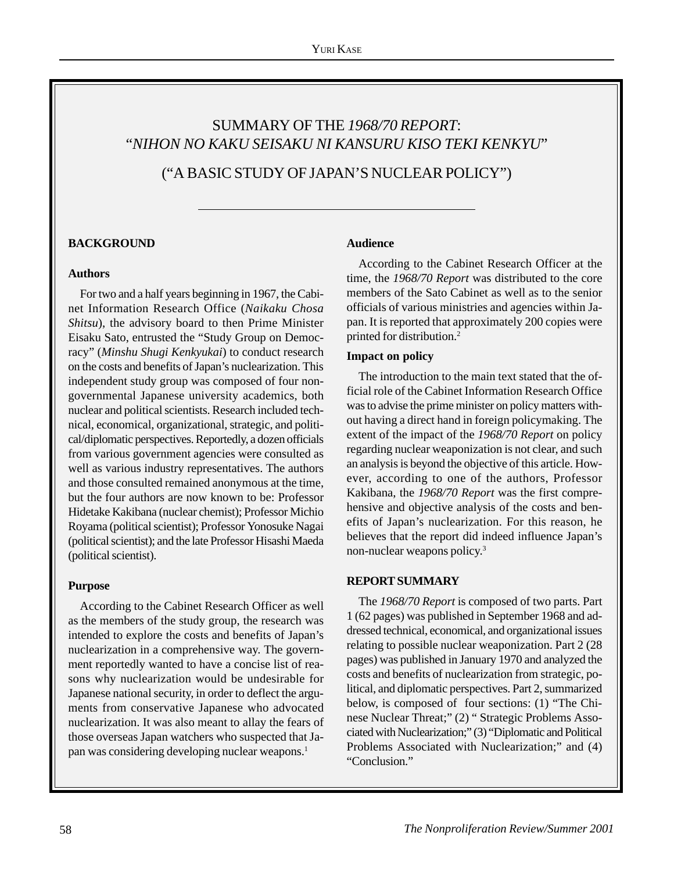## SUMMARY OF THE *1968/70 REPORT*: "*NIHON NO KAKU SEISAKU NI KANSURU KISO TEKI KENKYU*"

("A BASIC STUDY OF JAPAN'S NUCLEAR POLICY")

#### **BACKGROUND**

#### **Authors**

For two and a half years beginning in 1967, the Cabinet Information Research Office (*Naikaku Chosa Shitsu*), the advisory board to then Prime Minister Eisaku Sato, entrusted the "Study Group on Democracy" (*Minshu Shugi Kenkyukai*) to conduct research on the costs and benefits of Japan's nuclearization. This independent study group was composed of four nongovernmental Japanese university academics, both nuclear and political scientists. Research included technical, economical, organizational, strategic, and political/diplomatic perspectives. Reportedly, a dozen officials from various government agencies were consulted as well as various industry representatives. The authors and those consulted remained anonymous at the time, but the four authors are now known to be: Professor Hidetake Kakibana (nuclear chemist); Professor Michio Royama (political scientist); Professor Yonosuke Nagai (political scientist); and the late Professor Hisashi Maeda (political scientist).

#### **Purpose**

According to the Cabinet Research Officer as well as the members of the study group, the research was intended to explore the costs and benefits of Japan's nuclearization in a comprehensive way. The government reportedly wanted to have a concise list of reasons why nuclearization would be undesirable for Japanese national security, in order to deflect the arguments from conservative Japanese who advocated nuclearization. It was also meant to allay the fears of those overseas Japan watchers who suspected that Japan was considering developing nuclear weapons.1

#### **Audience**

According to the Cabinet Research Officer at the time, the *1968/70 Report* was distributed to the core members of the Sato Cabinet as well as to the senior officials of various ministries and agencies within Japan. It is reported that approximately 200 copies were printed for distribution.2

#### **Impact on policy**

The introduction to the main text stated that the official role of the Cabinet Information Research Office was to advise the prime minister on policy matters without having a direct hand in foreign policymaking. The extent of the impact of the *1968/70 Report* on policy regarding nuclear weaponization is not clear, and such an analysis is beyond the objective of this article. However, according to one of the authors, Professor Kakibana, the *1968/70 Report* was the first comprehensive and objective analysis of the costs and benefits of Japan's nuclearization. For this reason, he believes that the report did indeed influence Japan's non-nuclear weapons policy.3

#### **REPORT SUMMARY**

The *1968/70 Report* is composed of two parts. Part 1 (62 pages) was published in September 1968 and addressed technical, economical, and organizational issues relating to possible nuclear weaponization. Part 2 (28 pages) was published in January 1970 and analyzed the costs and benefits of nuclearization from strategic, political, and diplomatic perspectives. Part 2, summarized below, is composed of four sections: (1) "The Chinese Nuclear Threat;" (2) " Strategic Problems Associated with Nuclearization;" (3) "Diplomatic and Political Problems Associated with Nuclearization;" and (4) "Conclusion."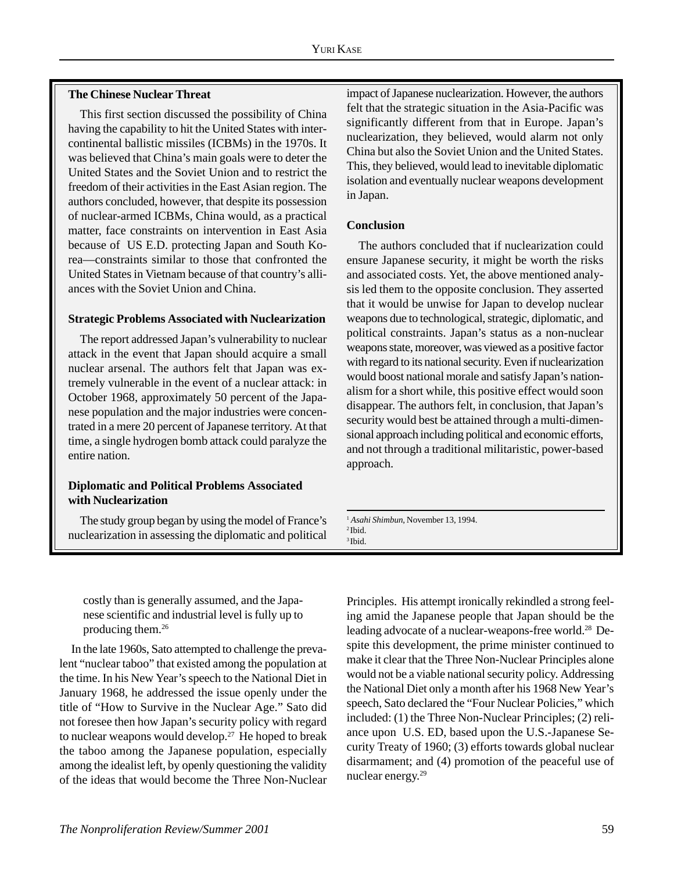#### **The Chinese Nuclear Threat**

This first section discussed the possibility of China having the capability to hit the United States with intercontinental ballistic missiles (ICBMs) in the 1970s. It was believed that China's main goals were to deter the United States and the Soviet Union and to restrict the freedom of their activities in the East Asian region. The authors concluded, however, that despite its possession of nuclear-armed ICBMs, China would, as a practical matter, face constraints on intervention in East Asia because of US E.D. protecting Japan and South Korea—constraints similar to those that confronted the United States in Vietnam because of that country's alliances with the Soviet Union and China.

#### **Strategic Problems Associated with Nuclearization**

The report addressed Japan's vulnerability to nuclear attack in the event that Japan should acquire a small nuclear arsenal. The authors felt that Japan was extremely vulnerable in the event of a nuclear attack: in October 1968, approximately 50 percent of the Japanese population and the major industries were concentrated in a mere 20 percent of Japanese territory. At that time, a single hydrogen bomb attack could paralyze the entire nation.

#### **Diplomatic and Political Problems Associated with Nuclearization**

The study group began by using the model of France's nuclearization in assessing the diplomatic and political impact of Japanese nuclearization. However, the authors felt that the strategic situation in the Asia-Pacific was significantly different from that in Europe. Japan's nuclearization, they believed, would alarm not only China but also the Soviet Union and the United States. This, they believed, would lead to inevitable diplomatic isolation and eventually nuclear weapons development in Japan.

#### **Conclusion**

The authors concluded that if nuclearization could ensure Japanese security, it might be worth the risks and associated costs. Yet, the above mentioned analysis led them to the opposite conclusion. They asserted that it would be unwise for Japan to develop nuclear weapons due to technological, strategic, diplomatic, and political constraints. Japan's status as a non-nuclear weapons state, moreover, was viewed as a positive factor with regard to its national security. Even if nuclearization would boost national morale and satisfy Japan's nationalism for a short while, this positive effect would soon disappear. The authors felt, in conclusion, that Japan's security would best be attained through a multi-dimensional approach including political and economic efforts, and not through a traditional militaristic, power-based approach.

<sup>1</sup> *Asahi Shimbun*, November 13, 1994. 2 Ibid. 3 Ibid.

costly than is generally assumed, and the Japanese scientific and industrial level is fully up to producing them.26

In the late 1960s, Sato attempted to challenge the prevalent "nuclear taboo" that existed among the population at the time. In his New Year's speech to the National Diet in January 1968, he addressed the issue openly under the title of "How to Survive in the Nuclear Age." Sato did not foresee then how Japan's security policy with regard to nuclear weapons would develop. $27$  He hoped to break the taboo among the Japanese population, especially among the idealist left, by openly questioning the validity of the ideas that would become the Three Non-Nuclear Principles. His attempt ironically rekindled a strong feeling amid the Japanese people that Japan should be the leading advocate of a nuclear-weapons-free world.<sup>28</sup> Despite this development, the prime minister continued to make it clear that the Three Non-Nuclear Principles alone would not be a viable national security policy. Addressing the National Diet only a month after his 1968 New Year's speech, Sato declared the "Four Nuclear Policies," which included: (1) the Three Non-Nuclear Principles; (2) reliance upon U.S. ED, based upon the U.S.-Japanese Security Treaty of 1960; (3) efforts towards global nuclear disarmament; and (4) promotion of the peaceful use of nuclear energy.29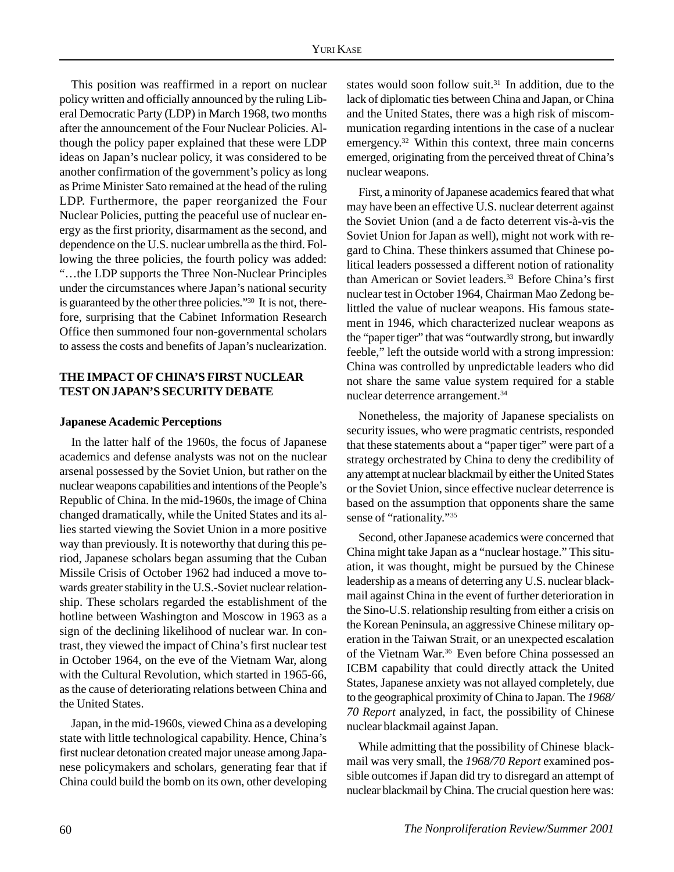This position was reaffirmed in a report on nuclear policy written and officially announced by the ruling Liberal Democratic Party (LDP) in March 1968, two months after the announcement of the Four Nuclear Policies. Although the policy paper explained that these were LDP ideas on Japan's nuclear policy, it was considered to be another confirmation of the government's policy as long as Prime Minister Sato remained at the head of the ruling LDP. Furthermore, the paper reorganized the Four Nuclear Policies, putting the peaceful use of nuclear energy as the first priority, disarmament as the second, and dependence on the U.S. nuclear umbrella as the third. Following the three policies, the fourth policy was added: "…the LDP supports the Three Non-Nuclear Principles under the circumstances where Japan's national security is guaranteed by the other three policies."30 It is not, therefore, surprising that the Cabinet Information Research Office then summoned four non-governmental scholars to assess the costs and benefits of Japan's nuclearization.

#### **THE IMPACT OF CHINA'S FIRST NUCLEAR TEST ON JAPAN'S SECURITY DEBATE**

#### **Japanese Academic Perceptions**

In the latter half of the 1960s, the focus of Japanese academics and defense analysts was not on the nuclear arsenal possessed by the Soviet Union, but rather on the nuclear weapons capabilities and intentions of the People's Republic of China. In the mid-1960s, the image of China changed dramatically, while the United States and its allies started viewing the Soviet Union in a more positive way than previously. It is noteworthy that during this period, Japanese scholars began assuming that the Cuban Missile Crisis of October 1962 had induced a move towards greater stability in the U.S.-Soviet nuclear relationship. These scholars regarded the establishment of the hotline between Washington and Moscow in 1963 as a sign of the declining likelihood of nuclear war. In contrast, they viewed the impact of China's first nuclear test in October 1964, on the eve of the Vietnam War, along with the Cultural Revolution, which started in 1965-66, as the cause of deteriorating relations between China and the United States.

Japan, in the mid-1960s, viewed China as a developing state with little technological capability. Hence, China's first nuclear detonation created major unease among Japanese policymakers and scholars, generating fear that if China could build the bomb on its own, other developing states would soon follow suit.31 In addition, due to the lack of diplomatic ties between China and Japan, or China and the United States, there was a high risk of miscommunication regarding intentions in the case of a nuclear emergency.32 Within this context, three main concerns emerged, originating from the perceived threat of China's nuclear weapons.

First, a minority of Japanese academics feared that what may have been an effective U.S. nuclear deterrent against the Soviet Union (and a de facto deterrent vis-à-vis the Soviet Union for Japan as well), might not work with regard to China. These thinkers assumed that Chinese political leaders possessed a different notion of rationality than American or Soviet leaders.<sup>33</sup> Before China's first nuclear test in October 1964, Chairman Mao Zedong belittled the value of nuclear weapons. His famous statement in 1946, which characterized nuclear weapons as the "paper tiger" that was "outwardly strong, but inwardly feeble," left the outside world with a strong impression: China was controlled by unpredictable leaders who did not share the same value system required for a stable nuclear deterrence arrangement.34

Nonetheless, the majority of Japanese specialists on security issues, who were pragmatic centrists, responded that these statements about a "paper tiger" were part of a strategy orchestrated by China to deny the credibility of any attempt at nuclear blackmail by either the United States or the Soviet Union, since effective nuclear deterrence is based on the assumption that opponents share the same sense of "rationality."<sup>35</sup>

Second, other Japanese academics were concerned that China might take Japan as a "nuclear hostage." This situation, it was thought, might be pursued by the Chinese leadership as a means of deterring any U.S. nuclear blackmail against China in the event of further deterioration in the Sino-U.S. relationship resulting from either a crisis on the Korean Peninsula, an aggressive Chinese military operation in the Taiwan Strait, or an unexpected escalation of the Vietnam War.<sup>36</sup> Even before China possessed an ICBM capability that could directly attack the United States, Japanese anxiety was not allayed completely, due to the geographical proximity of China to Japan. The *1968/ 70 Report* analyzed, in fact, the possibility of Chinese nuclear blackmail against Japan.

While admitting that the possibility of Chinese blackmail was very small, the *1968/70 Report* examined possible outcomes if Japan did try to disregard an attempt of nuclear blackmail by China. The crucial question here was: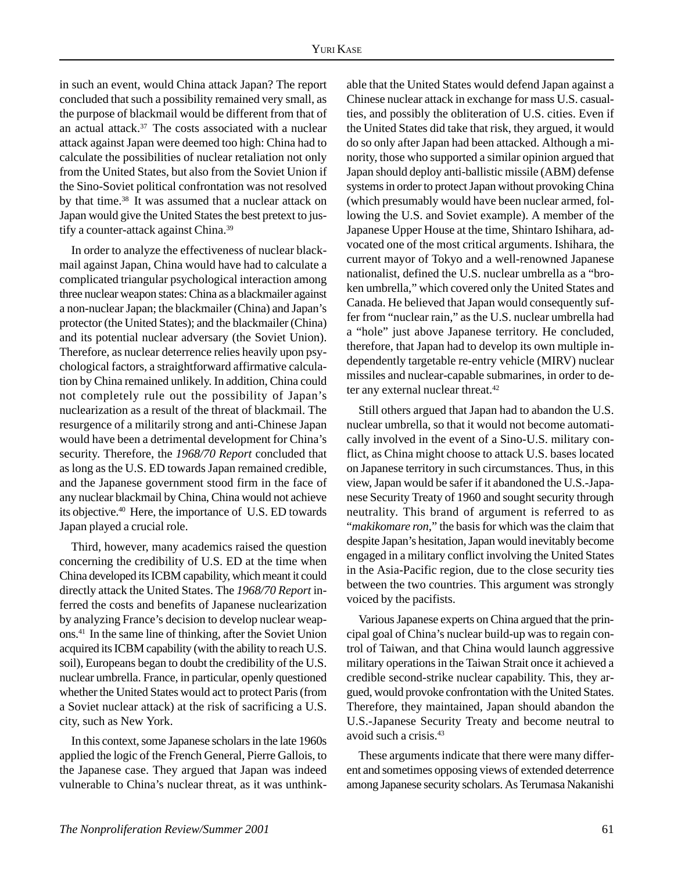in such an event, would China attack Japan? The report concluded that such a possibility remained very small, as the purpose of blackmail would be different from that of an actual attack.37 The costs associated with a nuclear attack against Japan were deemed too high: China had to calculate the possibilities of nuclear retaliation not only from the United States, but also from the Soviet Union if the Sino-Soviet political confrontation was not resolved by that time.38 It was assumed that a nuclear attack on Japan would give the United States the best pretext to justify a counter-attack against China.39

In order to analyze the effectiveness of nuclear blackmail against Japan, China would have had to calculate a complicated triangular psychological interaction among three nuclear weapon states: China as a blackmailer against a non-nuclear Japan; the blackmailer (China) and Japan's protector (the United States); and the blackmailer (China) and its potential nuclear adversary (the Soviet Union). Therefore, as nuclear deterrence relies heavily upon psychological factors, a straightforward affirmative calculation by China remained unlikely. In addition, China could not completely rule out the possibility of Japan's nuclearization as a result of the threat of blackmail. The resurgence of a militarily strong and anti-Chinese Japan would have been a detrimental development for China's security. Therefore, the *1968/70 Report* concluded that as long as the U.S. ED towards Japan remained credible, and the Japanese government stood firm in the face of any nuclear blackmail by China, China would not achieve its objective.40 Here, the importance of U.S. ED towards Japan played a crucial role.

Third, however, many academics raised the question concerning the credibility of U.S. ED at the time when China developed its ICBM capability, which meant it could directly attack the United States. The *1968/70 Report* inferred the costs and benefits of Japanese nuclearization by analyzing France's decision to develop nuclear weapons.41 In the same line of thinking, after the Soviet Union acquired its ICBM capability (with the ability to reach U.S. soil), Europeans began to doubt the credibility of the U.S. nuclear umbrella. France, in particular, openly questioned whether the United States would act to protect Paris (from a Soviet nuclear attack) at the risk of sacrificing a U.S. city, such as New York.

In this context, some Japanese scholars in the late 1960s applied the logic of the French General, Pierre Gallois, to the Japanese case. They argued that Japan was indeed vulnerable to China's nuclear threat, as it was unthinkable that the United States would defend Japan against a Chinese nuclear attack in exchange for mass U.S. casualties, and possibly the obliteration of U.S. cities. Even if the United States did take that risk, they argued, it would do so only after Japan had been attacked. Although a minority, those who supported a similar opinion argued that Japan should deploy anti-ballistic missile (ABM) defense systems in order to protect Japan without provoking China (which presumably would have been nuclear armed, following the U.S. and Soviet example). A member of the Japanese Upper House at the time, Shintaro Ishihara, advocated one of the most critical arguments. Ishihara, the current mayor of Tokyo and a well-renowned Japanese nationalist, defined the U.S. nuclear umbrella as a "broken umbrella," which covered only the United States and Canada. He believed that Japan would consequently suffer from "nuclear rain," as the U.S. nuclear umbrella had a "hole" just above Japanese territory. He concluded, therefore, that Japan had to develop its own multiple independently targetable re-entry vehicle (MIRV) nuclear missiles and nuclear-capable submarines, in order to deter any external nuclear threat.<sup>42</sup>

Still others argued that Japan had to abandon the U.S. nuclear umbrella, so that it would not become automatically involved in the event of a Sino-U.S. military conflict, as China might choose to attack U.S. bases located on Japanese territory in such circumstances. Thus, in this view, Japan would be safer if it abandoned the U.S.-Japanese Security Treaty of 1960 and sought security through neutrality. This brand of argument is referred to as "*makikomare ron,*" the basis for which was the claim that despite Japan's hesitation, Japan would inevitably become engaged in a military conflict involving the United States in the Asia-Pacific region, due to the close security ties between the two countries. This argument was strongly voiced by the pacifists.

Various Japanese experts on China argued that the principal goal of China's nuclear build-up was to regain control of Taiwan, and that China would launch aggressive military operations in the Taiwan Strait once it achieved a credible second-strike nuclear capability. This, they argued, would provoke confrontation with the United States. Therefore, they maintained, Japan should abandon the U.S.-Japanese Security Treaty and become neutral to avoid such a crisis.43

These arguments indicate that there were many different and sometimes opposing views of extended deterrence among Japanese security scholars. As Terumasa Nakanishi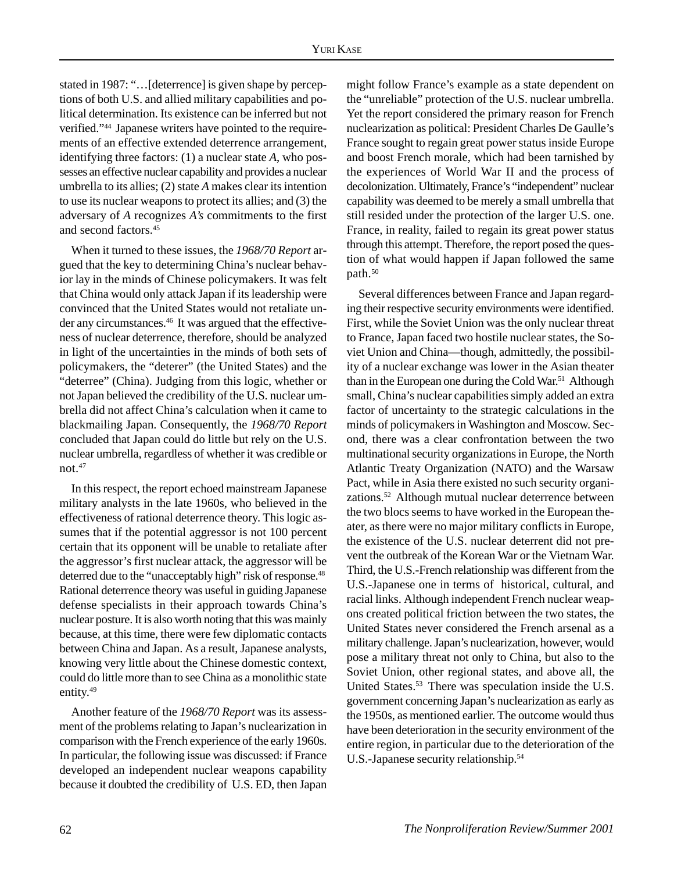stated in 1987: "…[deterrence] is given shape by perceptions of both U.S. and allied military capabilities and political determination. Its existence can be inferred but not verified."44 Japanese writers have pointed to the requirements of an effective extended deterrence arrangement, identifying three factors: (1) a nuclear state *A*, who possesses an effective nuclear capability and provides a nuclear umbrella to its allies; (2) state *A* makes clear its intention to use its nuclear weapons to protect its allies; and (3) the adversary of *A* recognizes *A's* commitments to the first and second factors.45

When it turned to these issues, the *1968/70 Report* argued that the key to determining China's nuclear behavior lay in the minds of Chinese policymakers. It was felt that China would only attack Japan if its leadership were convinced that the United States would not retaliate under any circumstances.<sup>46</sup> It was argued that the effectiveness of nuclear deterrence, therefore, should be analyzed in light of the uncertainties in the minds of both sets of policymakers, the "deterer" (the United States) and the "deterree" (China). Judging from this logic, whether or not Japan believed the credibility of the U.S. nuclear umbrella did not affect China's calculation when it came to blackmailing Japan. Consequently, the *1968/70 Report* concluded that Japan could do little but rely on the U.S. nuclear umbrella, regardless of whether it was credible or not.47

In this respect, the report echoed mainstream Japanese military analysts in the late 1960s, who believed in the effectiveness of rational deterrence theory. This logic assumes that if the potential aggressor is not 100 percent certain that its opponent will be unable to retaliate after the aggressor's first nuclear attack, the aggressor will be deterred due to the "unacceptably high" risk of response.<sup>48</sup> Rational deterrence theory was useful in guiding Japanese defense specialists in their approach towards China's nuclear posture. It is also worth noting that this was mainly because, at this time, there were few diplomatic contacts between China and Japan. As a result, Japanese analysts, knowing very little about the Chinese domestic context, could do little more than to see China as a monolithic state entity.<sup>49</sup>

Another feature of the *1968/70 Report* was its assessment of the problems relating to Japan's nuclearization in comparison with the French experience of the early 1960s. In particular, the following issue was discussed: if France developed an independent nuclear weapons capability because it doubted the credibility of U.S. ED, then Japan might follow France's example as a state dependent on the "unreliable" protection of the U.S. nuclear umbrella. Yet the report considered the primary reason for French nuclearization as political: President Charles De Gaulle's France sought to regain great power status inside Europe and boost French morale, which had been tarnished by the experiences of World War II and the process of decolonization. Ultimately, France's "independent" nuclear capability was deemed to be merely a small umbrella that still resided under the protection of the larger U.S. one. France, in reality, failed to regain its great power status through this attempt. Therefore, the report posed the question of what would happen if Japan followed the same path.<sup>50</sup>

Several differences between France and Japan regarding their respective security environments were identified. First, while the Soviet Union was the only nuclear threat to France, Japan faced two hostile nuclear states, the Soviet Union and China—though, admittedly, the possibility of a nuclear exchange was lower in the Asian theater than in the European one during the Cold War.<sup>51</sup> Although small, China's nuclear capabilities simply added an extra factor of uncertainty to the strategic calculations in the minds of policymakers in Washington and Moscow. Second, there was a clear confrontation between the two multinational security organizations in Europe, the North Atlantic Treaty Organization (NATO) and the Warsaw Pact, while in Asia there existed no such security organizations.52 Although mutual nuclear deterrence between the two blocs seems to have worked in the European theater, as there were no major military conflicts in Europe, the existence of the U.S. nuclear deterrent did not prevent the outbreak of the Korean War or the Vietnam War. Third, the U.S.-French relationship was different from the U.S.-Japanese one in terms of historical, cultural, and racial links. Although independent French nuclear weapons created political friction between the two states, the United States never considered the French arsenal as a military challenge. Japan's nuclearization, however, would pose a military threat not only to China, but also to the Soviet Union, other regional states, and above all, the United States.53 There was speculation inside the U.S. government concerning Japan's nuclearization as early as the 1950s, as mentioned earlier. The outcome would thus have been deterioration in the security environment of the entire region, in particular due to the deterioration of the U.S.-Japanese security relationship.54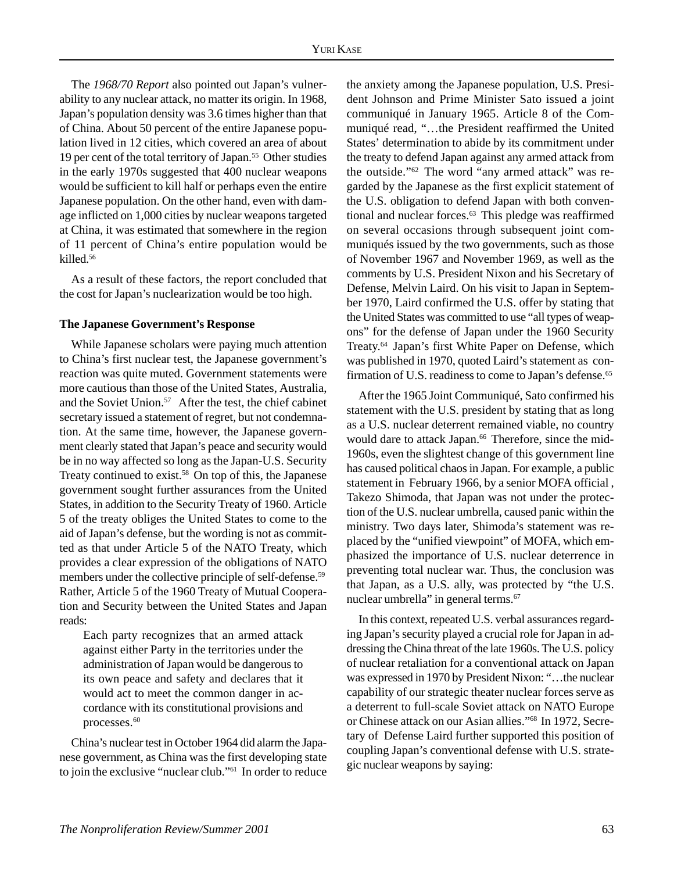The *1968/70 Report* also pointed out Japan's vulnerability to any nuclear attack, no matter its origin. In 1968, Japan's population density was 3.6 times higher than that of China. About 50 percent of the entire Japanese population lived in 12 cities, which covered an area of about 19 per cent of the total territory of Japan.55 Other studies in the early 1970s suggested that 400 nuclear weapons would be sufficient to kill half or perhaps even the entire Japanese population. On the other hand, even with damage inflicted on 1,000 cities by nuclear weapons targeted at China, it was estimated that somewhere in the region of 11 percent of China's entire population would be killed.56

As a result of these factors, the report concluded that the cost for Japan's nuclearization would be too high.

#### **The Japanese Government's Response**

While Japanese scholars were paying much attention to China's first nuclear test, the Japanese government's reaction was quite muted. Government statements were more cautious than those of the United States, Australia, and the Soviet Union.<sup>57</sup> After the test, the chief cabinet secretary issued a statement of regret, but not condemnation. At the same time, however, the Japanese government clearly stated that Japan's peace and security would be in no way affected so long as the Japan-U.S. Security Treaty continued to exist.<sup>58</sup> On top of this, the Japanese government sought further assurances from the United States, in addition to the Security Treaty of 1960. Article 5 of the treaty obliges the United States to come to the aid of Japan's defense, but the wording is not as committed as that under Article 5 of the NATO Treaty, which provides a clear expression of the obligations of NATO members under the collective principle of self-defense.<sup>59</sup> Rather, Article 5 of the 1960 Treaty of Mutual Cooperation and Security between the United States and Japan reads:

Each party recognizes that an armed attack against either Party in the territories under the administration of Japan would be dangerous to its own peace and safety and declares that it would act to meet the common danger in accordance with its constitutional provisions and processes.<sup>60</sup>

China's nuclear test in October 1964 did alarm the Japanese government, as China was the first developing state to join the exclusive "nuclear club."61 In order to reduce the anxiety among the Japanese population, U.S. President Johnson and Prime Minister Sato issued a joint communiqué in January 1965. Article 8 of the Communiqué read, "…the President reaffirmed the United States' determination to abide by its commitment under the treaty to defend Japan against any armed attack from the outside."62 The word "any armed attack" was regarded by the Japanese as the first explicit statement of the U.S. obligation to defend Japan with both conventional and nuclear forces.<sup>63</sup> This pledge was reaffirmed on several occasions through subsequent joint communiqués issued by the two governments, such as those of November 1967 and November 1969, as well as the comments by U.S. President Nixon and his Secretary of Defense, Melvin Laird. On his visit to Japan in September 1970, Laird confirmed the U.S. offer by stating that the United States was committed to use "all types of weapons" for the defense of Japan under the 1960 Security Treaty.64 Japan's first White Paper on Defense, which was published in 1970, quoted Laird's statement as confirmation of U.S. readiness to come to Japan's defense.<sup>65</sup>

After the 1965 Joint Communiqué, Sato confirmed his statement with the U.S. president by stating that as long as a U.S. nuclear deterrent remained viable, no country would dare to attack Japan.<sup>66</sup> Therefore, since the mid-1960s, even the slightest change of this government line has caused political chaos in Japan. For example, a public statement in February 1966, by a senior MOFA official , Takezo Shimoda, that Japan was not under the protection of the U.S. nuclear umbrella, caused panic within the ministry. Two days later, Shimoda's statement was replaced by the "unified viewpoint" of MOFA, which emphasized the importance of U.S. nuclear deterrence in preventing total nuclear war. Thus, the conclusion was that Japan, as a U.S. ally, was protected by "the U.S. nuclear umbrella" in general terms.<sup>67</sup>

In this context, repeated U.S. verbal assurances regarding Japan's security played a crucial role for Japan in addressing the China threat of the late 1960s. The U.S. policy of nuclear retaliation for a conventional attack on Japan was expressed in 1970 by President Nixon: "…the nuclear capability of our strategic theater nuclear forces serve as a deterrent to full-scale Soviet attack on NATO Europe or Chinese attack on our Asian allies."68 In 1972, Secretary of Defense Laird further supported this position of coupling Japan's conventional defense with U.S. strategic nuclear weapons by saying: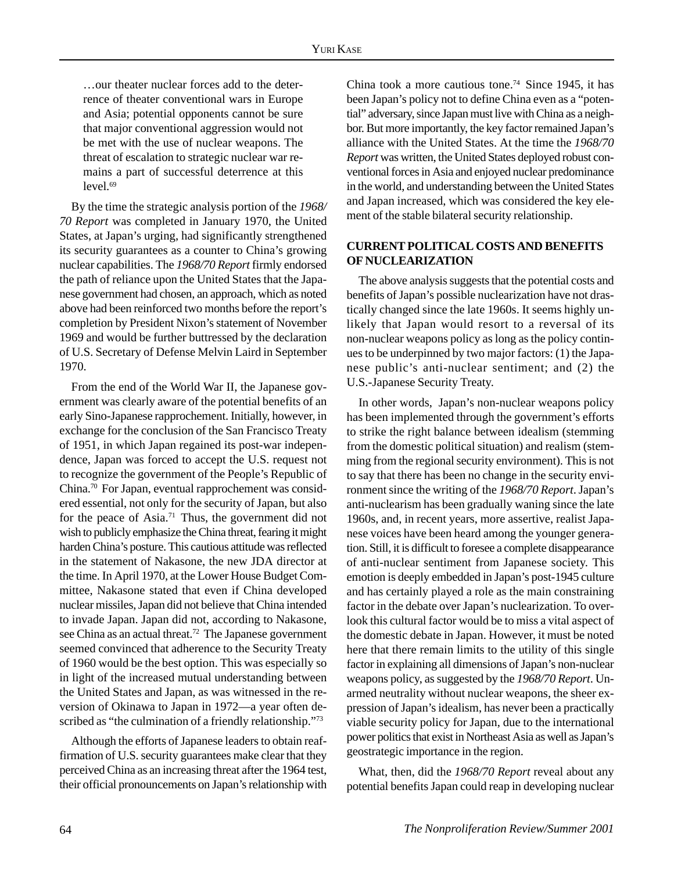…our theater nuclear forces add to the deterrence of theater conventional wars in Europe and Asia; potential opponents cannot be sure that major conventional aggression would not be met with the use of nuclear weapons. The threat of escalation to strategic nuclear war remains a part of successful deterrence at this  $level<sup>69</sup>$ 

By the time the strategic analysis portion of the *1968/ 70 Report* was completed in January 1970, the United States, at Japan's urging, had significantly strengthened its security guarantees as a counter to China's growing nuclear capabilities. The *1968/70 Report* firmly endorsed the path of reliance upon the United States that the Japanese government had chosen, an approach, which as noted above had been reinforced two months before the report's completion by President Nixon's statement of November 1969 and would be further buttressed by the declaration of U.S. Secretary of Defense Melvin Laird in September 1970.

From the end of the World War II, the Japanese government was clearly aware of the potential benefits of an early Sino-Japanese rapprochement. Initially, however, in exchange for the conclusion of the San Francisco Treaty of 1951, in which Japan regained its post-war independence, Japan was forced to accept the U.S. request not to recognize the government of the People's Republic of China.70 For Japan, eventual rapprochement was considered essential, not only for the security of Japan, but also for the peace of Asia.<sup>71</sup> Thus, the government did not wish to publicly emphasize the China threat, fearing it might harden China's posture. This cautious attitude was reflected in the statement of Nakasone, the new JDA director at the time. In April 1970, at the Lower House Budget Committee, Nakasone stated that even if China developed nuclear missiles, Japan did not believe that China intended to invade Japan. Japan did not, according to Nakasone, see China as an actual threat.<sup>72</sup> The Japanese government seemed convinced that adherence to the Security Treaty of 1960 would be the best option. This was especially so in light of the increased mutual understanding between the United States and Japan, as was witnessed in the reversion of Okinawa to Japan in 1972—a year often described as "the culmination of a friendly relationship."<sup>73</sup>

Although the efforts of Japanese leaders to obtain reaffirmation of U.S. security guarantees make clear that they perceived China as an increasing threat after the 1964 test, their official pronouncements on Japan's relationship with China took a more cautious tone.74 Since 1945, it has been Japan's policy not to define China even as a "potential" adversary, since Japan must live with China as a neighbor. But more importantly, the key factor remained Japan's alliance with the United States. At the time the *1968/70 Report* was written, the United States deployed robust conventional forces in Asia and enjoyed nuclear predominance in the world, and understanding between the United States and Japan increased, which was considered the key element of the stable bilateral security relationship.

#### **CURRENT POLITICAL COSTS AND BENEFITS OF NUCLEARIZATION**

The above analysis suggests that the potential costs and benefits of Japan's possible nuclearization have not drastically changed since the late 1960s. It seems highly unlikely that Japan would resort to a reversal of its non-nuclear weapons policy as long as the policy continues to be underpinned by two major factors: (1) the Japanese public's anti-nuclear sentiment; and (2) the U.S.-Japanese Security Treaty.

In other words, Japan's non-nuclear weapons policy has been implemented through the government's efforts to strike the right balance between idealism (stemming from the domestic political situation) and realism (stemming from the regional security environment). This is not to say that there has been no change in the security environment since the writing of the *1968/70 Report*. Japan's anti-nuclearism has been gradually waning since the late 1960s, and, in recent years, more assertive, realist Japanese voices have been heard among the younger generation. Still, it is difficult to foresee a complete disappearance of anti-nuclear sentiment from Japanese society. This emotion is deeply embedded in Japan's post-1945 culture and has certainly played a role as the main constraining factor in the debate over Japan's nuclearization. To overlook this cultural factor would be to miss a vital aspect of the domestic debate in Japan. However, it must be noted here that there remain limits to the utility of this single factor in explaining all dimensions of Japan's non-nuclear weapons policy, as suggested by the *1968/70 Report*. Unarmed neutrality without nuclear weapons, the sheer expression of Japan's idealism, has never been a practically viable security policy for Japan, due to the international power politics that exist in Northeast Asia as well as Japan's geostrategic importance in the region.

What, then, did the *1968/70 Report* reveal about any potential benefits Japan could reap in developing nuclear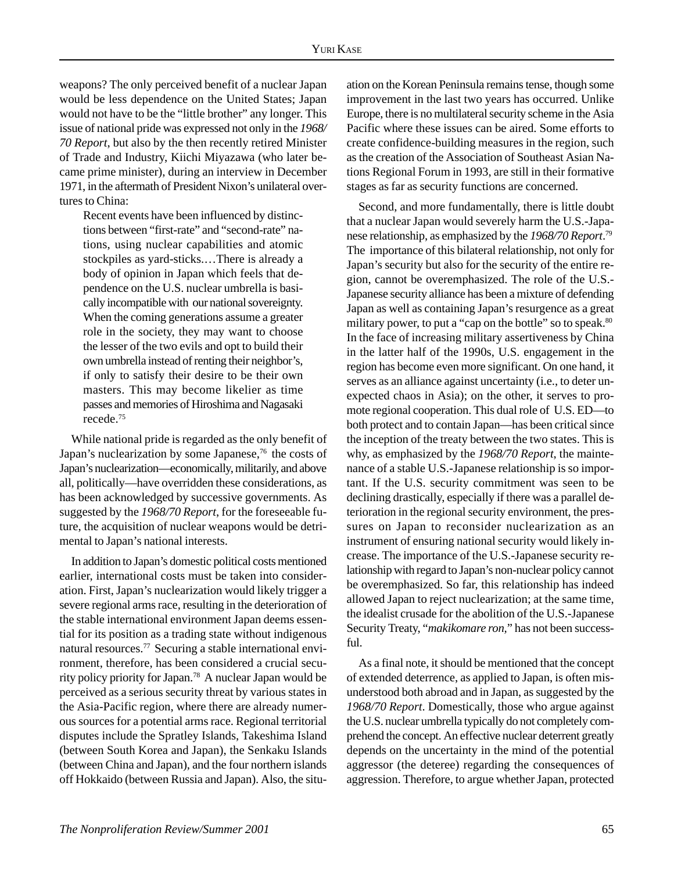weapons? The only perceived benefit of a nuclear Japan would be less dependence on the United States; Japan would not have to be the "little brother" any longer. This issue of national pride was expressed not only in the *1968/ 70 Report*, but also by the then recently retired Minister of Trade and Industry, Kiichi Miyazawa (who later became prime minister), during an interview in December 1971, in the aftermath of President Nixon's unilateral overtures to China:

Recent events have been influenced by distinctions between "first-rate" and "second-rate" nations, using nuclear capabilities and atomic stockpiles as yard-sticks.…There is already a body of opinion in Japan which feels that dependence on the U.S. nuclear umbrella is basically incompatible with our national sovereignty. When the coming generations assume a greater role in the society, they may want to choose the lesser of the two evils and opt to build their own umbrella instead of renting their neighbor's, if only to satisfy their desire to be their own masters. This may become likelier as time passes and memories of Hiroshima and Nagasaki recede.75

While national pride is regarded as the only benefit of Japan's nuclearization by some Japanese,<sup>76</sup> the costs of Japan's nuclearization—economically, militarily, and above all, politically—have overridden these considerations, as has been acknowledged by successive governments. As suggested by the *1968/70 Report*, for the foreseeable future, the acquisition of nuclear weapons would be detrimental to Japan's national interests.

In addition to Japan's domestic political costs mentioned earlier, international costs must be taken into consideration. First, Japan's nuclearization would likely trigger a severe regional arms race, resulting in the deterioration of the stable international environment Japan deems essential for its position as a trading state without indigenous natural resources.77 Securing a stable international environment, therefore, has been considered a crucial security policy priority for Japan.78 A nuclear Japan would be perceived as a serious security threat by various states in the Asia-Pacific region, where there are already numerous sources for a potential arms race. Regional territorial disputes include the Spratley Islands, Takeshima Island (between South Korea and Japan), the Senkaku Islands (between China and Japan), and the four northern islands off Hokkaido (between Russia and Japan). Also, the situation on the Korean Peninsula remains tense, though some improvement in the last two years has occurred. Unlike Europe, there is no multilateral security scheme in the Asia Pacific where these issues can be aired. Some efforts to create confidence-building measures in the region, such as the creation of the Association of Southeast Asian Nations Regional Forum in 1993, are still in their formative stages as far as security functions are concerned.

Second, and more fundamentally, there is little doubt that a nuclear Japan would severely harm the U.S.-Japanese relationship, as emphasized by the *1968/70 Report*. 79 The importance of this bilateral relationship, not only for Japan's security but also for the security of the entire region, cannot be overemphasized. The role of the U.S.- Japanese security alliance has been a mixture of defending Japan as well as containing Japan's resurgence as a great military power, to put a "cap on the bottle" so to speak.<sup>80</sup> In the face of increasing military assertiveness by China in the latter half of the 1990s, U.S. engagement in the region has become even more significant. On one hand, it serves as an alliance against uncertainty (i.e., to deter unexpected chaos in Asia); on the other, it serves to promote regional cooperation. This dual role of U.S. ED—to both protect and to contain Japan—has been critical since the inception of the treaty between the two states. This is why, as emphasized by the *1968/70 Report*, the maintenance of a stable U.S.-Japanese relationship is so important. If the U.S. security commitment was seen to be declining drastically, especially if there was a parallel deterioration in the regional security environment, the pressures on Japan to reconsider nuclearization as an instrument of ensuring national security would likely increase. The importance of the U.S.-Japanese security relationship with regard to Japan's non-nuclear policy cannot be overemphasized. So far, this relationship has indeed allowed Japan to reject nuclearization; at the same time, the idealist crusade for the abolition of the U.S.-Japanese Security Treaty, "*makikomare ron,*" has not been successful.

As a final note, it should be mentioned that the concept of extended deterrence, as applied to Japan, is often misunderstood both abroad and in Japan, as suggested by the *1968/70 Report*. Domestically, those who argue against the U.S. nuclear umbrella typically do not completely comprehend the concept. An effective nuclear deterrent greatly depends on the uncertainty in the mind of the potential aggressor (the deteree) regarding the consequences of aggression. Therefore, to argue whether Japan, protected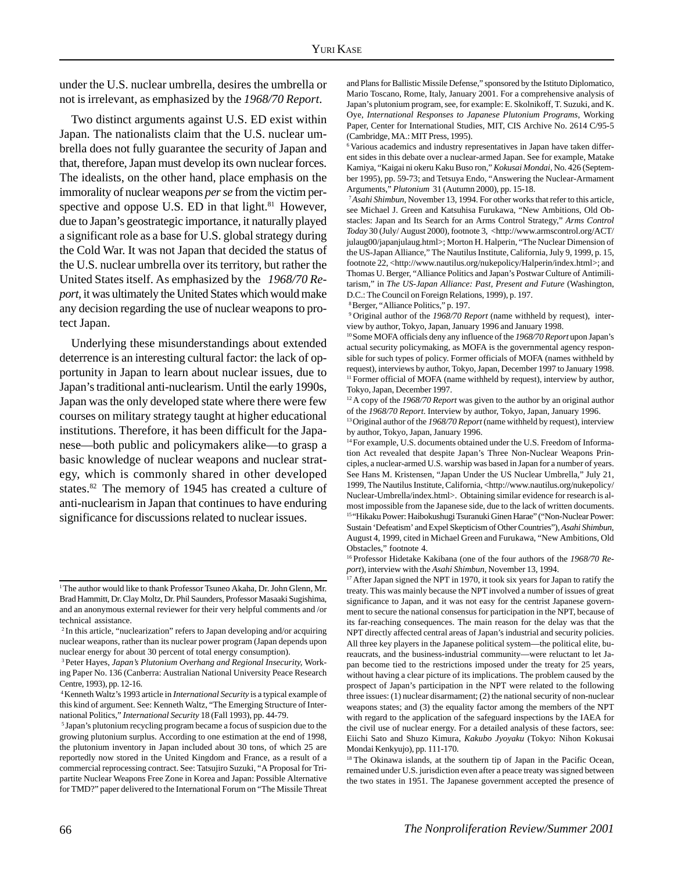under the U.S. nuclear umbrella, desires the umbrella or not is irrelevant, as emphasized by the *1968/70 Report*.

Two distinct arguments against U.S. ED exist within Japan. The nationalists claim that the U.S. nuclear umbrella does not fully guarantee the security of Japan and that, therefore, Japan must develop its own nuclear forces. The idealists, on the other hand, place emphasis on the immorality of nuclear weapons *per se* from the victim perspective and oppose U.S. ED in that light. $81$  However, due to Japan's geostrategic importance, it naturally played a significant role as a base for U.S. global strategy during the Cold War. It was not Japan that decided the status of the U.S. nuclear umbrella over its territory, but rather the United States itself. As emphasized by the *1968/70 Report*, it was ultimately the United States which would make any decision regarding the use of nuclear weapons to protect Japan.

Underlying these misunderstandings about extended deterrence is an interesting cultural factor: the lack of opportunity in Japan to learn about nuclear issues, due to Japan's traditional anti-nuclearism. Until the early 1990s, Japan was the only developed state where there were few courses on military strategy taught at higher educational institutions. Therefore, it has been difficult for the Japanese—both public and policymakers alike—to grasp a basic knowledge of nuclear weapons and nuclear strategy, which is commonly shared in other developed states.<sup>82</sup> The memory of 1945 has created a culture of anti-nuclearism in Japan that continues to have enduring significance for discussions related to nuclear issues.

and Plans for Ballistic Missile Defense," sponsored by the Istituto Diplomatico, Mario Toscano, Rome, Italy, January 2001. For a comprehensive analysis of Japan's plutonium program, see, for example: E. Skolnikoff, T. Suzuki, and K. Oye, *International Responses to Japanese Plutonium Programs*, Working Paper, Center for International Studies, MIT, CIS Archive No. 2614 C/95-5 (Cambridge, MA.: MIT Press, 1995).

<sup>6</sup> Various academics and industry representatives in Japan have taken different sides in this debate over a nuclear-armed Japan. See for example, Matake Kamiya, "Kaigai ni okeru Kaku Buso ron," *Kokusai Mondai*, No. 426 (September 1995), pp. 59-73; and Tetsuya Endo, "Answering the Nuclear-Armament Arguments," *Plutonium* 31 (Autumn 2000), pp. 15-18.

<sup>7</sup>*Asahi Shimbun*, November 13, 1994. For other works that refer to this article, see Michael J. Green and Katsuhisa Furukawa, "New Ambitions, Old Obstacles: Japan and Its Search for an Arms Control Strategy," *Arms Control Today* 30 (July/ August 2000), footnote 3, <http://www.armscontrol.org/ACT/ julaug00/japanjulaug.html>; Morton H. Halperin, "The Nuclear Dimension of the US-Japan Alliance," The Nautilus Institute, California, July 9, 1999, p. 15, footnote 22, <http://www.nautilus.org/nukepolicy/Halperin/index.html>; and Thomas U. Berger, "Alliance Politics and Japan's Postwar Culture of Antimilitarism," in *The US-Japan Alliance: Past, Present and Future* (Washington, D.C.: The Council on Foreign Relations, 1999), p. 197.

8 Berger, "Alliance Politics," p. 197.

9 Original author of the *1968/70 Report* (name withheld by request), interview by author, Tokyo, Japan, January 1996 and January 1998.

10 Some MOFA officials deny any influence of the *1968/70 Report* upon Japan's actual security policymaking, as MOFA is the governmental agency responsible for such types of policy. Former officials of MOFA (names withheld by request), interviews by author, Tokyo, Japan, December 1997 to January 1998. <sup>11</sup> Former official of MOFA (name withheld by request), interview by author, Tokyo, Japan, December 1997.

12 A copy of the *1968/70 Report* was given to the author by an original author of the *1968/70 Report*. Interview by author, Tokyo, Japan, January 1996.

13 Original author of the *1968/70 Report* (name withheld by request), interview by author, Tokyo, Japan, January 1996.

<sup>14</sup> For example, U.S. documents obtained under the U.S. Freedom of Information Act revealed that despite Japan's Three Non-Nuclear Weapons Principles, a nuclear-armed U.S. warship was based in Japan for a number of years. See Hans M. Kristensen, "Japan Under the US Nuclear Umbrella," July 21, 1999, The Nautilus Institute, California, <http://www.nautilus.org/nukepolicy/ Nuclear-Umbrella/index.html>. Obtaining similar evidence for research is almost impossible from the Japanese side, due to the lack of written documents. 15 "Hikaku Power: Haibokushugi Tsuranuki Ginen Harae" ("Non-Nuclear Power: Sustain 'Defeatism' and Expel Skepticism of Other Countries"), *Asahi Shimbun*, August 4, 1999, cited in Michael Green and Furukawa, "New Ambitions, Old Obstacles," footnote 4.

<sup>17</sup> After Japan signed the NPT in 1970, it took six years for Japan to ratify the treaty. This was mainly because the NPT involved a number of issues of great significance to Japan, and it was not easy for the centrist Japanese government to secure the national consensus for participation in the NPT, because of its far-reaching consequences. The main reason for the delay was that the NPT directly affected central areas of Japan's industrial and security policies. All three key players in the Japanese political system—the political elite, bureaucrats, and the business-industrial community—were reluctant to let Japan become tied to the restrictions imposed under the treaty for 25 years, without having a clear picture of its implications. The problem caused by the prospect of Japan's participation in the NPT were related to the following three issues: (1) nuclear disarmament; (2) the national security of non-nuclear weapons states; and (3) the equality factor among the members of the NPT with regard to the application of the safeguard inspections by the IAEA for the civil use of nuclear energy. For a detailed analysis of these factors, see: Eiichi Sato and Shuzo Kimura, *Kakubo Jyoyaku* (Tokyo: Nihon Kokusai Mondai Kenkyujo), pp. 111-170.

<sup>&</sup>lt;sup>1</sup>The author would like to thank Professor Tsuneo Akaha, Dr. John Glenn, Mr. Brad Hammitt, Dr. Clay Moltz, Dr. Phil Saunders, Professor Masaaki Sugishima, and an anonymous external reviewer for their very helpful comments and /or technical assistance.

<sup>2</sup> In this article, "nuclearization" refers to Japan developing and/or acquiring nuclear weapons, rather than its nuclear power program (Japan depends upon nuclear energy for about 30 percent of total energy consumption).

<sup>3</sup> Peter Hayes, *Japan's Plutonium Overhang and Regional Insecurity,* Working Paper No. 136 (Canberra: Australian National University Peace Research Centre, 1993), pp. 12-16.

<sup>4</sup> Kenneth Waltz's 1993 article in *International Security* is a typical example of this kind of argument. See: Kenneth Waltz, "The Emerging Structure of International Politics," *International Security* 18 (Fall 1993), pp. 44-79.

<sup>5</sup> Japan's plutonium recycling program became a focus of suspicion due to the growing plutonium surplus. According to one estimation at the end of 1998, the plutonium inventory in Japan included about 30 tons, of which 25 are reportedly now stored in the United Kingdom and France, as a result of a commercial reprocessing contract. See: Tatsujiro Suzuki, "A Proposal for Tripartite Nuclear Weapons Free Zone in Korea and Japan: Possible Alternative for TMD?" paper delivered to the International Forum on "The Missile Threat

<sup>16</sup> Professor Hidetake Kakibana (one of the four authors of the *1968/70 Report*), interview with the *Asahi Shimbun*, November 13, 1994.

<sup>&</sup>lt;sup>18</sup> The Okinawa islands, at the southern tip of Japan in the Pacific Ocean, remained under U.S. jurisdiction even after a peace treaty was signed between the two states in 1951. The Japanese government accepted the presence of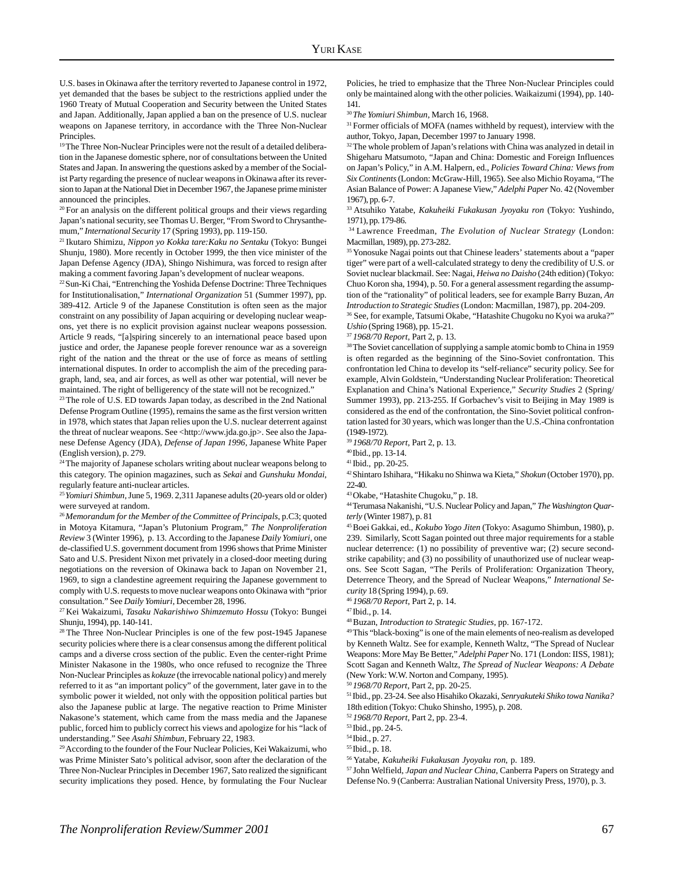U.S. bases in Okinawa after the territory reverted to Japanese control in 1972, yet demanded that the bases be subject to the restrictions applied under the 1960 Treaty of Mutual Cooperation and Security between the United States and Japan. Additionally, Japan applied a ban on the presence of U.S. nuclear weapons on Japanese territory, in accordance with the Three Non-Nuclear Principles.

<sup>19</sup> The Three Non-Nuclear Principles were not the result of a detailed deliberation in the Japanese domestic sphere, nor of consultations between the United States and Japan. In answering the questions asked by a member of the Socialist Party regarding the presence of nuclear weapons in Okinawa after its reversion to Japan at the National Diet in December 1967, the Japanese prime minister announced the principles.

<sup>20</sup> For an analysis on the different political groups and their views regarding Japan's national security, see Thomas U. Berger, "From Sword to Chrysanthemum," *International Security* 17 (Spring 1993), pp. 119-150.

21 Ikutaro Shimizu, *Nippon yo Kokka tare:Kaku no Sentaku* (Tokyo: Bungei Shunju, 1980). More recently in October 1999, the then vice minister of the Japan Defense Agency (JDA), Shingo Nishimura, was forced to resign after making a comment favoring Japan's development of nuclear weapons.

22 Sun-Ki Chai, "Entrenching the Yoshida Defense Doctrine: Three Techniques for Institutionalisation," *International Organization* 51 (Summer 1997), pp. 389-412. Article 9 of the Japanese Constitution is often seen as the major constraint on any possibility of Japan acquiring or developing nuclear weapons, yet there is no explicit provision against nuclear weapons possession. Article 9 reads, "[a]spiring sincerely to an international peace based upon justice and order, the Japanese people forever renounce war as a sovereign right of the nation and the threat or the use of force as means of settling international disputes. In order to accomplish the aim of the preceding paragraph, land, sea, and air forces, as well as other war potential, will never be maintained. The right of belligerency of the state will not be recognized."

<sup>23</sup> The role of U.S. ED towards Japan today, as described in the 2nd National Defense Program Outline (1995), remains the same as the first version written in 1978, which states that Japan relies upon the U.S. nuclear deterrent against the threat of nuclear weapons. See <http://www.jda.go.jp>. See also the Japanese Defense Agency (JDA), *Defense of Japan 1996*, Japanese White Paper (English version), p. 279.

<sup>24</sup> The majority of Japanese scholars writing about nuclear weapons belong to this category. The opinion magazines, such as *Sekai* and *Gunshuku Mondai*, regularly feature anti-nuclear articles.

<sup>25</sup>*Yomiuri Shimbun*, June 5, 1969. 2,311 Japanese adults (20-years old or older) were surveyed at random.

<sup>26</sup>*Memorandum for the Member of the Committee of Principals*, p.C3; quoted in Motoya Kitamura, "Japan's Plutonium Program," *The Nonproliferation Review* 3 (Winter 1996), p. 13. According to the Japanese *Daily Yomiuri*, one de-classified U.S. government document from 1996 shows that Prime Minister Sato and U.S. President Nixon met privately in a closed-door meeting during negotiations on the reversion of Okinawa back to Japan on November 21, 1969, to sign a clandestine agreement requiring the Japanese government to comply with U.S. requests to move nuclear weapons onto Okinawa with "prior consultation." See *Daily Yomiuri*, December 28, 1996.

27 Kei Wakaizumi, *Tasaku Nakarishiwo Shimzemuto Hossu* (Tokyo: Bungei Shunju, 1994), pp. 140-141.

28 The Three Non-Nuclear Principles is one of the few post-1945 Japanese security policies where there is a clear consensus among the different political camps and a diverse cross section of the public. Even the center-right Prime Minister Nakasone in the 1980s, who once refused to recognize the Three Non-Nuclear Principles as *kokuze* (the irrevocable national policy) and merely referred to it as "an important policy" of the government, later gave in to the symbolic power it wielded, not only with the opposition political parties but also the Japanese public at large. The negative reaction to Prime Minister Nakasone's statement, which came from the mass media and the Japanese public, forced him to publicly correct his views and apologize for his "lack of understanding." See *Asahi Shimbun*, February 22, 1983.

29 According to the founder of the Four Nuclear Policies, Kei Wakaizumi, who was Prime Minister Sato's political advisor, soon after the declaration of the Three Non-Nuclear Principles in December 1967, Sato realized the significant security implications they posed. Hence, by formulating the Four Nuclear Policies, he tried to emphasize that the Three Non-Nuclear Principles could only be maintained along with the other policies. Waikaizumi (1994), pp. 140- 141.

<sup>30</sup>*The Yomiuri Shimbun*, March 16, 1968.

<sup>31</sup> Former officials of MOFA (names withheld by request), interview with the author, Tokyo, Japan, December 1997 to January 1998.

<sup>32</sup> The whole problem of Japan's relations with China was analyzed in detail in Shigeharu Matsumoto, "Japan and China: Domestic and Foreign Influences on Japan's Policy," in A.M. Halpern, ed., *Policies Toward China: Views from Six Continents* (London: McGraw-Hill, 1965). See also Michio Royama, "The Asian Balance of Power: A Japanese View," *Adelphi Paper* No. 42 (November 1967), pp. 6-7.

33 Atsuhiko Yatabe, *Kakuheiki Fukakusan Jyoyaku ron* (Tokyo: Yushindo, 1971), pp. 179-86.

34 Lawrence Freedman, *The Evolution of Nuclear Strategy* (London: Macmillan, 1989), pp. 273-282.

<sup>35</sup> Yonosuke Nagai points out that Chinese leaders' statements about a "paper tiger" were part of a well-calculated strategy to deny the credibility of U.S. or Soviet nuclear blackmail. See: Nagai, *Heiwa no Daisho* (24th edition) (Tokyo: Chuo Koron sha, 1994), p. 50. For a general assessment regarding the assumption of the "rationality" of political leaders, see for example Barry Buzan, *An Introduction to Strategic Studies* (London: Macmillan, 1987), pp. 204-209.

36 See, for example, Tatsumi Okabe, "Hatashite Chugoku no Kyoi wa aruka?" *Ushio* (Spring 1968), pp. 15-21.

<sup>37</sup>*1968/70 Report*, Part 2, p. 13.

<sup>38</sup> The Soviet cancellation of supplying a sample atomic bomb to China in 1959 is often regarded as the beginning of the Sino-Soviet confrontation. This confrontation led China to develop its "self-reliance" security policy. See for example, Alvin Goldstein, "Understanding Nuclear Proliferation: Theoretical Explanation and China's National Experience," *Security Studies* 2 (Spring/ Summer 1993), pp. 213-255. If Gorbachev's visit to Beijing in May 1989 is considered as the end of the confrontation, the Sino-Soviet political confrontation lasted for 30 years, which was longer than the U.S.-China confrontation (1949-1972).

<sup>39</sup>*1968/70 Report*, Part 2, p. 13.

40 Ibid., pp. 13-14.

41 Ibid., pp. 20-25.

42 Shintaro Ishihara, "Hikaku no Shinwa wa Kieta," *Shokun* (October 1970), pp. 22-40.

43 Okabe, "Hatashite Chugoku," p. 18.

44 Terumasa Nakanishi, "U.S. Nuclear Policy and Japan," *The Washington Quarterly* (Winter 1987), p. 81

45 Boei Gakkai, ed., *Kokubo Yogo Jiten* (Tokyo: Asagumo Shimbun, 1980), p. 239. Similarly, Scott Sagan pointed out three major requirements for a stable nuclear deterrence: (1) no possibility of preventive war; (2) secure secondstrike capability; and (3) no possibility of unauthorized use of nuclear weapons. See Scott Sagan, "The Perils of Proliferation: Organization Theory, Deterrence Theory, and the Spread of Nuclear Weapons," *International Security* 18 (Spring 1994), p. 69.

<sup>46</sup>*1968/70 Report*, Part 2, p. 14.

47 Ibid., p. 14.

48 Buzan, *Introduction to Strategic Studies*, pp. 167-172.

49 This "black-boxing" is one of the main elements of neo-realism as developed by Kenneth Waltz. See for example, Kenneth Waltz, "The Spread of Nuclear Weapons: More May Be Better," *Adelphi Paper* No. 171 (London: IISS, 1981); Scott Sagan and Kenneth Waltz, *The Spread of Nuclear Weapons: A Debate* (New York: W.W. Norton and Company, 1995).

<sup>50</sup>*1968/70 Report*, Part 2, pp. 20-25.

51 Ibid., pp. 23-24. See also Hisahiko Okazaki, *Senryakuteki Shiko towa Nanika?* 18th edition (Tokyo: Chuko Shinsho, 1995), p. 208.

<sup>52</sup>*1968/70 Report*, Part 2, pp. 23-4.

57 John Welfield, *Japan and Nuclear China*, Canberra Papers on Strategy and Defense No. 9 (Canberra: Australian National University Press, 1970), p. 3.

<sup>53</sup> Ibid., pp. 24-5.

<sup>54</sup> Ibid., p. 27.

<sup>55</sup> Ibid., p. 18.

<sup>56</sup> Yatabe, *Kakuheiki Fukakusan Jyoyaku ron*, p. 189.